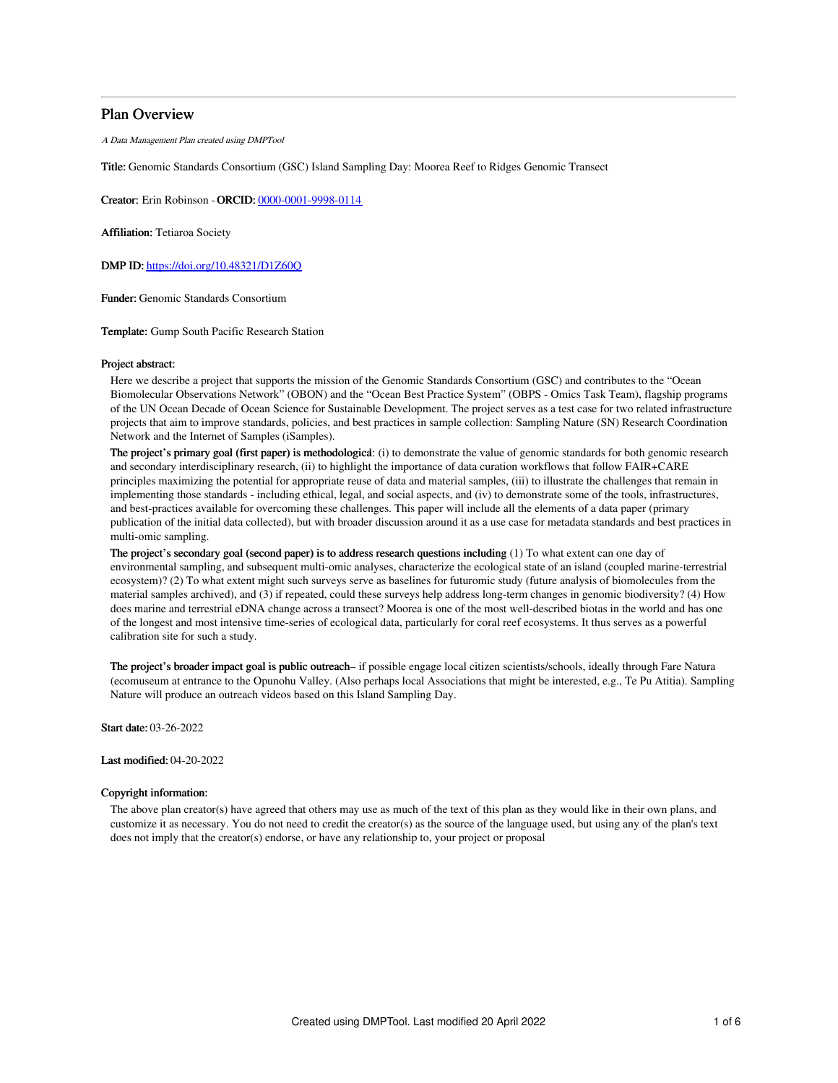# Plan Overview

A Data Management Plan created using DMPTool

Title: Genomic Standards Consortium (GSC) Island Sampling Day: Moorea Reef to Ridges Genomic Transect

Creator: Erin Robinson -ORCID: [0000-0001-9998-0114](https://orcid.org/0000-0001-9998-0114)

Affiliation: Tetiaroa Society

DMP ID: <https://doi.org/10.48321/D1Z60Q>

Funder: Genomic Standards Consortium

Template: Gump South Pacific Research Station

## Project abstract:

Here we describe a project that supports the mission of the Genomic Standards Consortium (GSC) and contributes to the "Ocean Biomolecular Observations Network" (OBON) and the "Ocean Best Practice System" (OBPS - Omics Task Team), flagship programs of the UN Ocean Decade of Ocean Science for Sustainable Development. The project serves as a test case for two related infrastructure projects that aim to improve standards, policies, and best practices in sample collection: Sampling Nature (SN) Research Coordination Network and the Internet of Samples (iSamples).

The project's primary goal (first paper) is methodological: (i) to demonstrate the value of genomic standards for both genomic research and secondary interdisciplinary research, (ii) to highlight the importance of data curation workflows that follow FAIR+CARE principles maximizing the potential for appropriate reuse of data and material samples, (iii) to illustrate the challenges that remain in implementing those standards - including ethical, legal, and social aspects, and (iv) to demonstrate some of the tools, infrastructures, and best-practices available for overcoming these challenges. This paper will include all the elements of a data paper (primary publication of the initial data collected), but with broader discussion around it as a use case for metadata standards and best practices in multi-omic sampling.

The project's secondary goal (second paper) is to address research questions including (1) To what extent can one day of environmental sampling, and subsequent multi-omic analyses, characterize the ecological state of an island (coupled marine-terrestrial ecosystem)? (2) To what extent might such surveys serve as baselines for futuromic study (future analysis of biomolecules from the material samples archived), and (3) if repeated, could these surveys help address long-term changes in genomic biodiversity? (4) How does marine and terrestrial eDNA change across a transect? Moorea is one of the most well-described biotas in the world and has one of the longest and most intensive time-series of ecological data, particularly for coral reef ecosystems. It thus serves as a powerful calibration site for such a study.

The project's broader impact goal is public outreach– if possible engage local citizen scientists/schools, ideally through Fare Natura (ecomuseum at entrance to the Opunohu Valley. (Also perhaps local Associations that might be interested, e.g., Te Pu Atitia). Sampling Nature will produce an outreach videos based on this Island Sampling Day.

Start date: 03-26-2022

Last modified: 04-20-2022

# Copyright information:

The above plan creator(s) have agreed that others may use as much of the text of this plan as they would like in their own plans, and customize it as necessary. You do not need to credit the creator(s) as the source of the language used, but using any of the plan's text does not imply that the creator(s) endorse, or have any relationship to, your project or proposal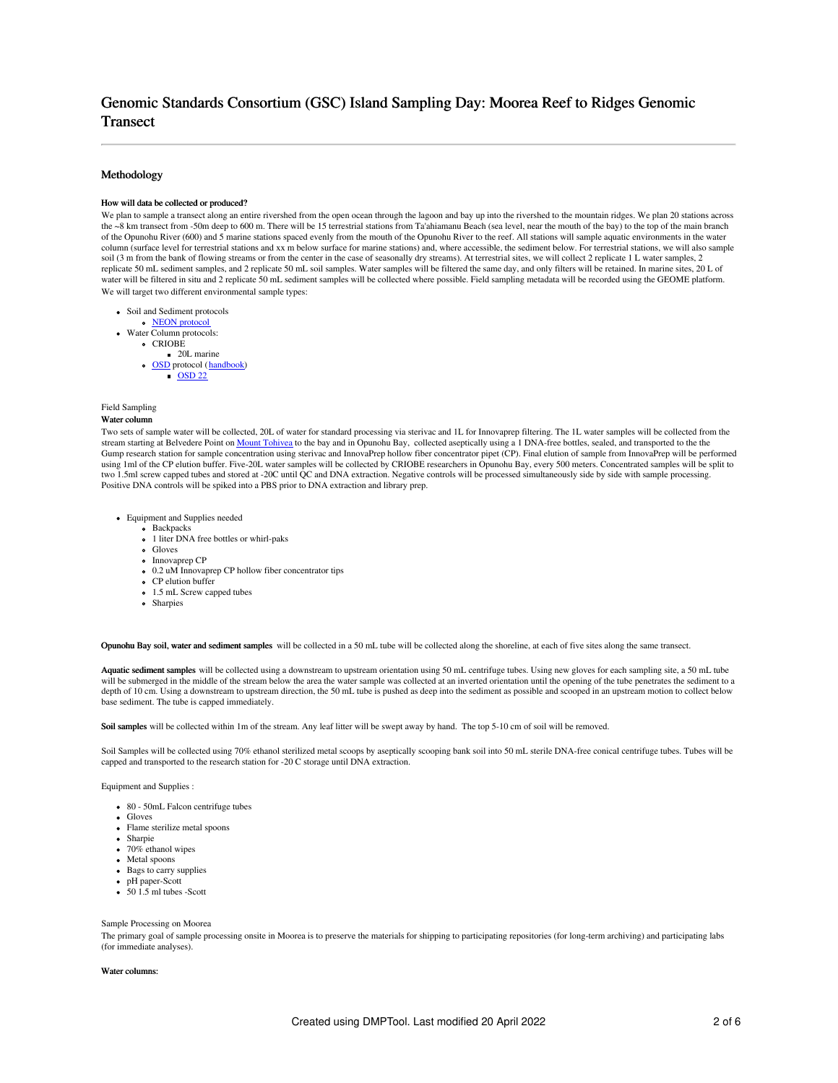# Genomic Standards Consortium (GSC) Island Sampling Day: Moorea Reef to Ridges Genomic **Transect**

## Methodology

### How will data be collected or produced?

We plan to sample a transect along an entire rivershed from the open ocean through the lagoon and bay up into the rivershed to the mountain ridges. We plan 20 stations across the ~8 km transect from -50m deep to 600 m. There will be 15 terrestrial stations from Ta'ahiamanu Beach (sea level, near the mouth of the bay) to the top of the main branch of the Opunohu River (600) and 5 marine stations spaced evenly from the mouth of the Opunohu River to the reef. All stations will sample aquatic environments in the water column (surface level for terrestrial stations and xx m below surface for marine stations) and, where accessible, the sediment below. For terrestrial stations, we will also sample soil (3 m from the bank of flowing streams or from the center in the case of seasonally dry streams). At terrestrial sites, we will collect 2 replicate 1 L water samples, 2 replicate 50 mL sediment samples, and 2 replicate 50 mL soil samples. Water samples will be filtered the same day, and only filters will be retained. In marine sites, 20 L of water will be filtered in situ and 2 replicate 50 mL sediment samples will be collected where possible. Field sampling metadata will be recorded using the GEOME platform. We will target two different environmental sample types:

- Soil and Sediment protocols
	- NEON [protocol](https://www.neonscience.org/data-collection/soils)
- Water Column protocols:
	- CRIOBE
	- $\bullet$  20L marine
	- o [OSD](https://www.microb3.eu/osd.html) protocol ([handbook](https://www.microb3.eu/sites/default/files/deliverables/MB3_D4_3_PU.pdf))  $\overline{\text{OSD 22}}$  $\overline{\text{OSD 22}}$  $\overline{\text{OSD 22}}$
	-

# Field Sampling

# Water column

Two sets of sample water will be collected, 20L of water for standard processing via sterivac and 1L for Innovaprep filtering. The 1L water samples will be collected from the stream starting at Belvedere Point on Mount [Tohivea](https://en.wikipedia.org/wiki/Mount_Tohivea) to the bay and in Opunohu Bay, collected aseptically using a 1 DNA-free bottles, sealed, and transported to the the Gump research station for sample concentration using sterivac and InnovaPrep hollow fiber concentrator pipet (CP). Final elution of sample from InnovaPrep will be performed using 1ml of the CP elution buffer. Five-20L water samples will be collected by CRIOBE researchers in Opunohu Bay, every 500 meters. Concentrated samples will be split to two 1.5ml screw capped tubes and stored at -20C until QC and DNA extraction. Negative controls will be processed simultaneously side by side with sample processing. Positive DNA controls will be spiked into a PBS prior to DNA extraction and library prep.

- Equipment and Supplies needed
	- Backpacks
	- <sup>o</sup> 1 liter DNA free bottles or whirl-paks
	- Gloves
	- o Innovaprep CP
	- 0.2 uM Innovaprep CP hollow fiber concentrator tips
	- CP elution buffer 1.5 mL Screw capped tubes
	-
	- Sharpies

Opunohu Bay soil, water and sediment samples will be collected in a 50 mL tube will be collected along the shoreline, at each of five sites along the same transect.

Aquatic sediment samples will be collected using a downstream to upstream orientation using 50 mL centrifuge tubes. Using new gloves for each sampling site, a 50 mL tube will be submerged in the middle of the stream below the area the water sample was collected at an inverted orientation until the opening of the tube penetrates the sediment to a depth of 10 cm. Using a downstream to upstream direction, the 50 mL tube is pushed as deep into the sediment as possible and scooped in an upstream motion to collect below base sediment. The tube is capped immediately.

Soil samples will be collected within 1m of the stream. Any leaf litter will be swept away by hand. The top 5-10 cm of soil will be removed.

Soil Samples will be collected using 70% ethanol sterilized metal scoops by aseptically scooping bank soil into 50 mL sterile DNA-free conical centrifuge tubes. Tubes will be capped and transported to the research station for -20 C storage until DNA extraction.

Equipment and Supplies :

- 80 50mL Falcon centrifuge tubes
- Gloves
- Flame sterilize metal spoons
- Sharpie
- $\bullet$  70% ethanol wipes
- Metal spoons
- Bags to carry supplies
- pH paper-Scott
- $\bullet$  50 1.5 ml tubes -Scott

#### Sample Processing on Moorea

The primary goal of sample processing onsite in Moorea is to preserve the materials for shipping to participating repositories (for long-term archiving) and participating labs (for immediate analyses).

#### Water columns: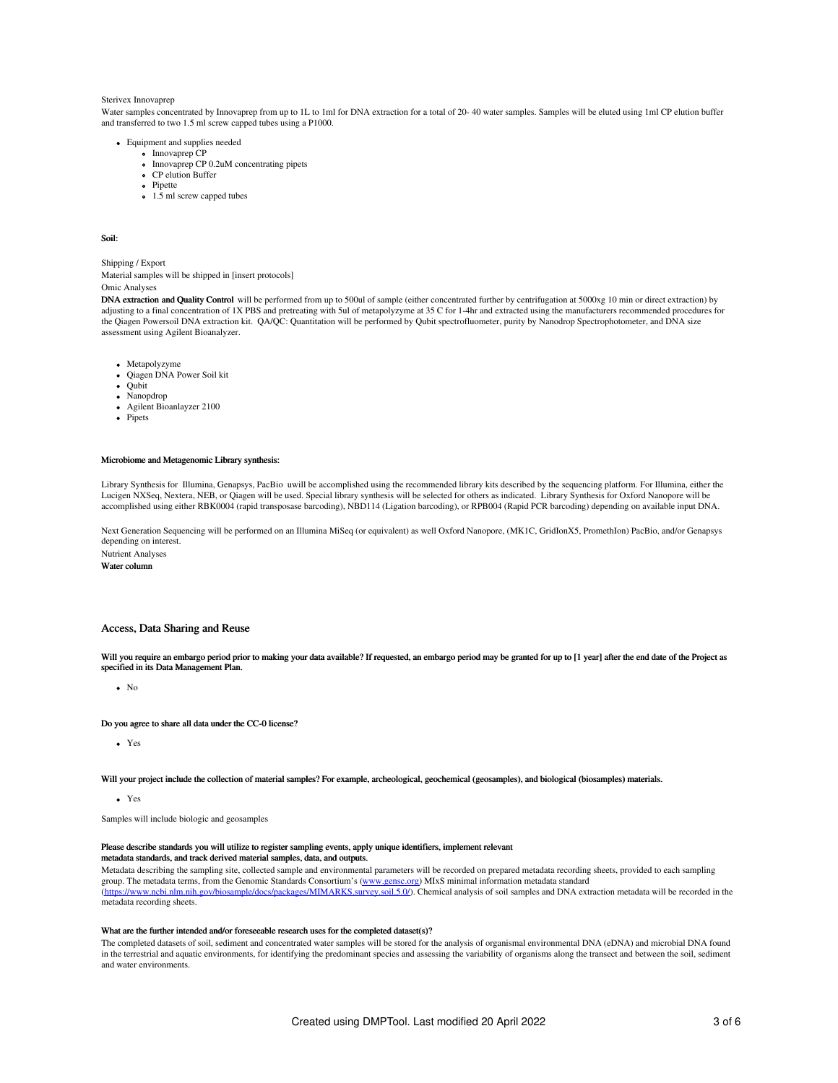#### Sterivex Innovaprep

Water samples concentrated by Innovaprep from up to 1L to 1ml for DNA extraction for a total of 20-40 water samples. Samples will be eluted using 1ml CP elution buffer and transferred to two 1.5 ml screw capped tubes using a P1000.

- Equipment and supplies needed
	- o Innovaprep CP
	- Innovaprep CP 0.2uM concentrating pipets CP elution Buffer
	- Pipette
	- $\cdot$  1.5 ml screw capped tubes

Soil:

Shipping / Export Material samples will be shipped in [insert protocols] Omic Analyses

DNA extraction and Quality Control will be performed from up to 500ul of sample (either concentrated further by centrifugation at 5000xg 10 min or direct extraction) by adjusting to a final concentration of 1X PBS and pretreating with 5ul of metapolyzyme at 35 C for 1-4hr and extracted using the manufacturers recommended procedures for the Qiagen Powersoil DNA extraction kit. QA/QC: Quantitation will be performed by Qubit spectrofluometer, purity by Nanodrop Spectrophotometer, and DNA size assessment using Agilent Bioanalyzer.

- Metapolyzyme
- Qiagen DNA Power Soil kit
- Qubit
- Nanopdrop
- Agilent Bioanlayzer 2100
- Pipets

#### Microbiome and Metagenomic Library synthesis:

Library Synthesis for Illumina, Genapsys, PacBio uwill be accomplished using the recommended library kits described by the sequencing platform. For Illumina, either the Lucigen NXSeq, Nextera, NEB, or Qiagen will be used. Special library synthesis will be selected for others as indicated. Library Synthesis for Oxford Nanopore will be accomplished using either RBK0004 (rapid transposase barcoding), NBD114 (Ligation barcoding), or RPB004 (Rapid PCR barcoding) depending on available input DNA.

Next Generation Sequencing will be performed on an Illumina MiSeq (or equivalent) as well Oxford Nanopore, (MK1C, GridIonX5, PromethIon) PacBio, and/or Genapsys depending on interest. Nutrient Analyses

Water column

## Access, Data Sharing and Reuse

Will you require an embargo period prior to making your data available? If requested, an embargo period may be granted for up to [1 year] after the end date of the Project as specified in its Data Management Plan.

 $\bullet$  No

#### Do you agree to share all data under the CC-0 license?

Yes

Will your project include the collection of material samples? For example, archeological, geochemical (geosamples), and biological (biosamples) materials.

Yes

Samples will include biologic and geosamples

### Please describe standards you will utilize to register sampling events, apply unique identifiers, implement relevant

metadata standards, and track derived material samples, data, and outputs.

Metadata describing the sampling site, collected sample and environmental parameters will be recorded on prepared metadata recording sheets, provided to each sampling group. The metadata terms, from the Genomic Standards Consortium's [\(www.gensc.org](http://www.gensc.org)) MIxS minimal information metadata standard [\(https://www.ncbi.nlm.nih.gov/biosample/docs/packages/MIMARKS.survey.soil.5.0/](https://www.ncbi.nlm.nih.gov/biosample/docs/packages/MIMARKS.survey.soil.5.0/)). Chemical analysis of soil samples and DNA extraction metadata will be recorded in the metadata recording sheets.

## What are the further intended and/or foreseeable research uses for the completed dataset(s)?

The completed datasets of soil, sediment and concentrated water samples will be stored for the analysis of organismal environmental DNA (eDNA) and microbial DNA found in the terrestrial and aquatic environments, for identifying the predominant species and assessing the variability of organisms along the transect and between the soil, sediment and water environments.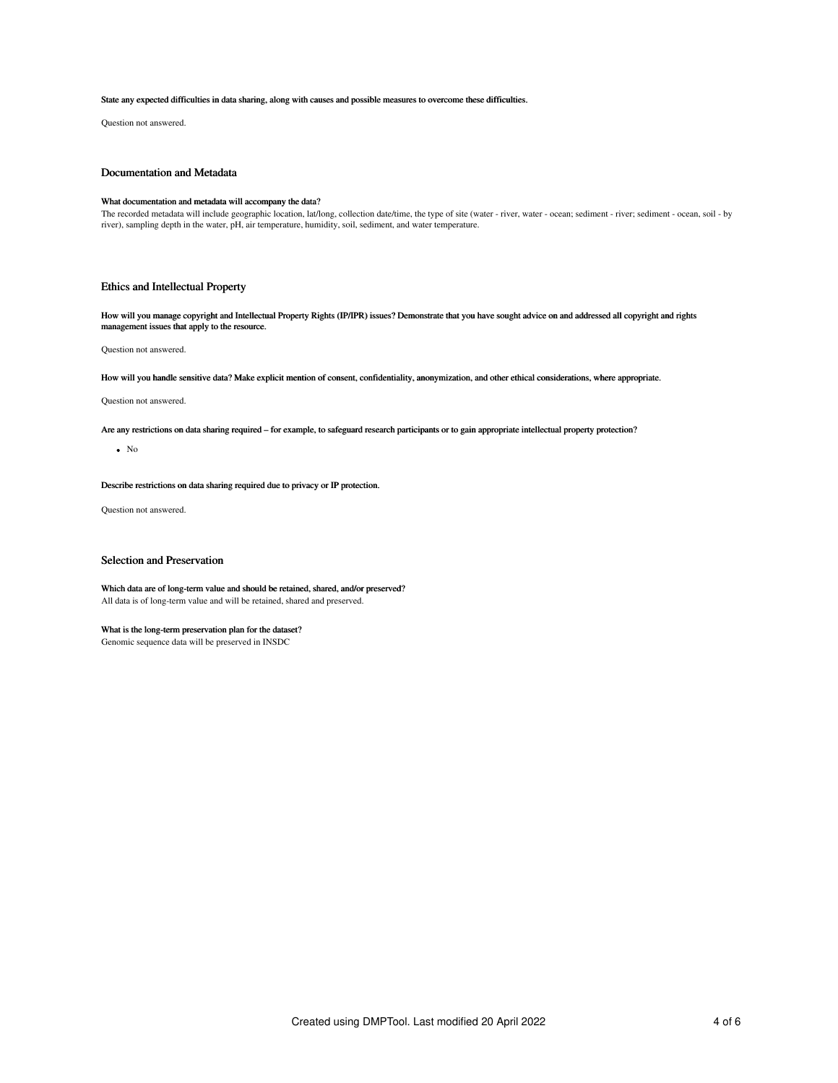#### State any expected difficulties in data sharing, along with causes and possible measures to overcome these difficulties.

Question not answered.

# Documentation and Metadata

## What documentation and metadata will accompany the data?

The recorded metadata will include geographic location, lat/long, collection date/time, the type of site (water - river, water - ocean; sediment - river; sediment - ocean, soil - by<br>river), sampling depth in the water, pH,

# Ethics and Intellectual Property

How will you manage copyright and Intellectual Property Rights (IP/IPR) issues? Demonstrate that you have sought advice on and addressed all copyright and rights management issues that apply to the resource.

Question not answered.

How will you handle sensitive data? Make explicit mention of consent, confidentiality, anonymization, and other ethical considerations, where appropriate.

# Question not answered.

Are any restrictions on data sharing required – for example, to safeguard research participants or to gain appropriate intellectual property protection?

# $\bullet$  No

Describe restrictions on data sharing required due to privacy or IP protection.

Question not answered.

# Selection and Preservation

Which data are of long-term value and should be retained, shared, and/or preserved? All data is of long-term value and will be retained, shared and preserved.

# What is the long-term preservation plan for the dataset?

Genomic sequence data will be preserved in INSDC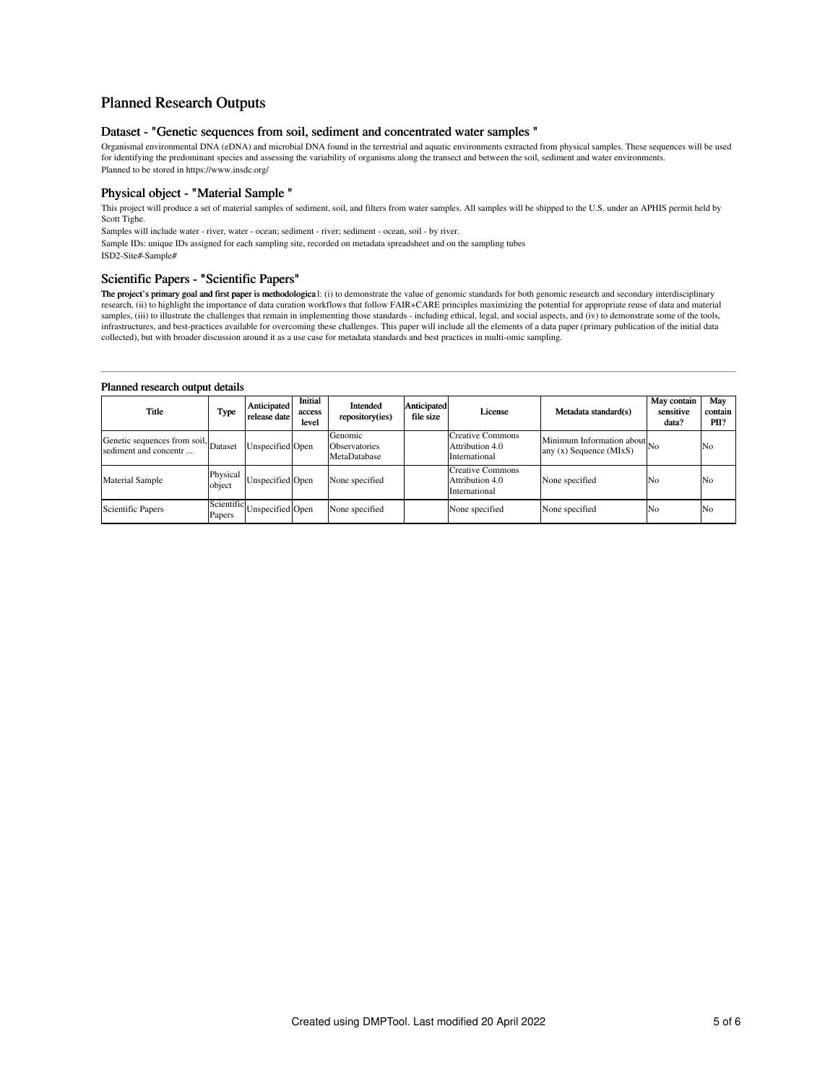# Planned Research Outputs

# Dataset - "Genetic sequences from soil, sediment and concentrated water samples "

Organismal environmental DNA (eDNA) and microbial DNA found in the terrestrial and aquatic environments extracted from physical samples. These sequences will be used for identifying the predominant species and assessing the variability of organisms along the transect and between the soil, sediment and water environments. Planned to be stored in https://www.insdc.org/

# Physical object - "Material Sample "

This project will produce a set of material samples of sediment, soil, and filters from water samples. All samples will be shipped to the U.S. under an APHIS permit held by Scott Tighe.

Samples will include water - river, water - ocean; sediment - river; sediment - ocean, soil - by river.

Sample IDs: unique IDs assigned for each sampling site, recorded on metadata spreadsheet and on the sampling tubes ISD2-Site#-Sample#

# Scientific Papers - "Scientific Papers"

**The project's primary goal and first paper is methodologica** l: (i) to demonstrate the value of genomic standards for both genomic research and secondary interdisciplinary research, (ii) to highlight the importance of dat

# Planned research output details

| Title                                                         | Type               | Anticipated<br>release date | Initial<br>access<br>level | Intended<br>repository(ies)              | Anticipated<br>file size | License                                                     | Metadata standard(s)                                           | May contain<br>sensitive<br>data? | May<br>contain<br>PII? |
|---------------------------------------------------------------|--------------------|-----------------------------|----------------------------|------------------------------------------|--------------------------|-------------------------------------------------------------|----------------------------------------------------------------|-----------------------------------|------------------------|
| Genetic sequences from soil, Dataset<br>sediment and concentr |                    | Unspecified Open            |                            | Genomic<br>Observatories<br>MetaDatabase |                          | <b>Creative Commons</b><br>Attribution 4.0<br>International | Minimum Information about $N_0$<br>any $(x)$ Sequence $(MIxS)$ |                                   | No                     |
| <b>Material Sample</b>                                        | Physical<br>object | Unspecified Open            |                            | None specified                           |                          | <b>Creative Commons</b><br>Attribution 4.0<br>International | None specified                                                 | No                                | No                     |
| <b>Scientific Papers</b>                                      | Papers             | Scientific Unspecified Open |                            | None specified                           |                          | None specified                                              | None specified                                                 | No                                | No                     |